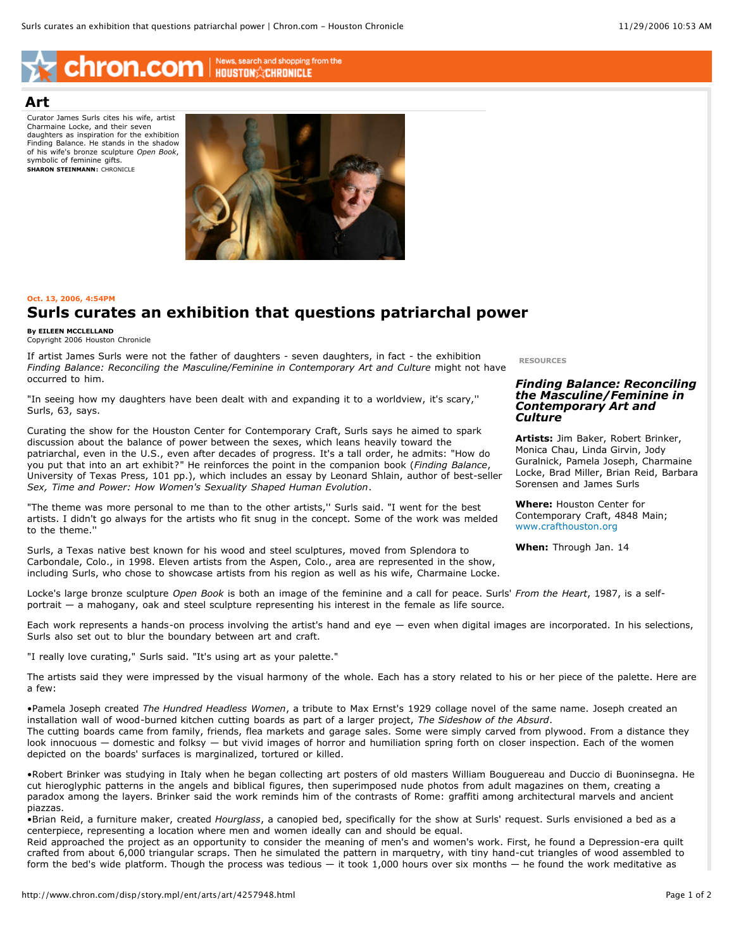# Chron.com | News, search and shopping from the

### **Art**

Curator James Surls cites his wife, artist Charmaine Locke, and their seven daughters as inspiration for the exhibition Finding Balance. He stands in the shadow of his wife's bronze sculpture *Open Book*, symbolic of feminine gifts. **SHARON STEINMANN:** CHRONICLE



#### **Oct. 13, 2006, 4:54PM**

## **Surls curates an exhibition that questions patriarchal power**

**By EILEEN MCCLELLAND** Copyright 2006 Houston Chronicle

If artist James Surls were not the father of daughters - seven daughters, in fact - the exhibition *Finding Balance: Reconciling the Masculine/Feminine in Contemporary Art and Culture* might not have occurred to him.

"In seeing how my daughters have been dealt with and expanding it to a worldview, it's scary,'' Surls, 63, says.

Curating the show for the Houston Center for Contemporary Craft, Surls says he aimed to spark discussion about the balance of power between the sexes, which leans heavily toward the patriarchal, even in the U.S., even after decades of progress. It's a tall order, he admits: "How do you put that into an art exhibit?" He reinforces the point in the companion book (*Finding Balance*, University of Texas Press, 101 pp.), which includes an essay by Leonard Shlain, author of best-seller *Sex, Time and Power: How Women's Sexuality Shaped Human Evolution*.

"The theme was more personal to me than to the other artists,'' Surls said. "I went for the best artists. I didn't go always for the artists who fit snug in the concept. Some of the work was melded to the theme.''

Surls, a Texas native best known for his wood and steel sculptures, moved from Splendora to Carbondale, Colo., in 1998. Eleven artists from the Aspen, Colo., area are represented in the show, including Surls, who chose to showcase artists from his region as well as his wife, Charmaine Locke. **RESOURCES**

#### *Finding Balance: Reconciling the Masculine/Feminine in Contemporary Art and Culture*

**Artists:** Jim Baker, Robert Brinker, Monica Chau, Linda Girvin, Jody Guralnick, Pamela Joseph, Charmaine Locke, Brad Miller, Brian Reid, Barbara Sorensen and James Surls

**Where:** Houston Center for Contemporary Craft, 4848 Main; www.crafthouston.org

**When:** Through Jan. 14

Locke's large bronze sculpture *Open Book* is both an image of the feminine and a call for peace. Surls' *From the Heart*, 1987, is a selfportrait — a mahogany, oak and steel sculpture representing his interest in the female as life source.

Each work represents a hands-on process involving the artist's hand and eye — even when digital images are incorporated. In his selections, Surls also set out to blur the boundary between art and craft.

"I really love curating," Surls said. "It's using art as your palette."

The artists said they were impressed by the visual harmony of the whole. Each has a story related to his or her piece of the palette. Here are a few:

•Pamela Joseph created *The Hundred Headless Women*, a tribute to Max Ernst's 1929 collage novel of the same name. Joseph created an installation wall of wood-burned kitchen cutting boards as part of a larger project, *The Sideshow of the Absurd*. The cutting boards came from family, friends, flea markets and garage sales. Some were simply carved from plywood. From a distance they look innocuous — domestic and folksy — but vivid images of horror and humiliation spring forth on closer inspection. Each of the women depicted on the boards' surfaces is marginalized, tortured or killed.

•Robert Brinker was studying in Italy when he began collecting art posters of old masters William Bouguereau and Duccio di Buoninsegna. He cut hieroglyphic patterns in the angels and biblical figures, then superimposed nude photos from adult magazines on them, creating a paradox among the layers. Brinker said the work reminds him of the contrasts of Rome: graffiti among architectural marvels and ancient piazzas.

•Brian Reid, a furniture maker, created *Hourglass*, a canopied bed, specifically for the show at Surls' request. Surls envisioned a bed as a centerpiece, representing a location where men and women ideally can and should be equal.

Reid approached the project as an opportunity to consider the meaning of men's and women's work. First, he found a Depression-era quilt crafted from about 6,000 triangular scraps. Then he simulated the pattern in marquetry, with tiny hand-cut triangles of wood assembled to form the bed's wide platform. Though the process was tedious — it took 1,000 hours over six months — he found the work meditative as